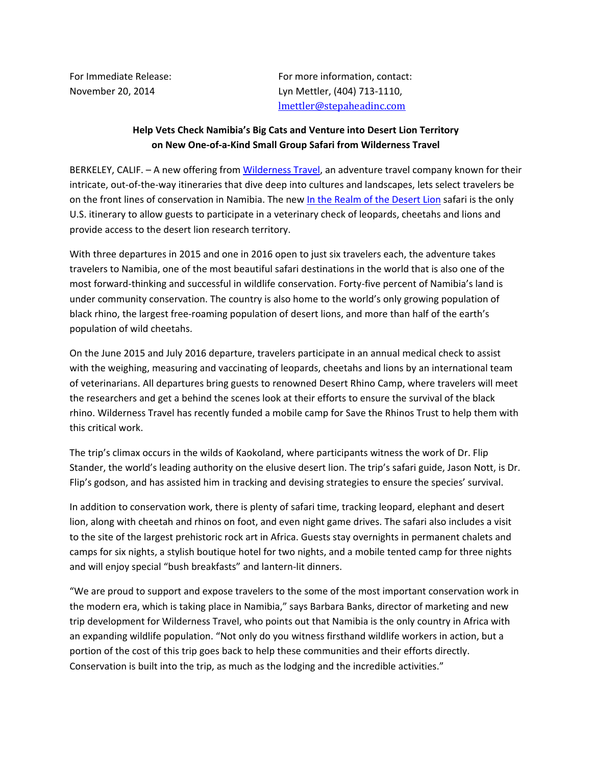For Immediate Release: For more information, contact: November 20, 2014 Lyn Mettler, (404) 713-1110, lmettler@stepaheadinc.com

## **Help Vets Check Namibia's Big Cats and Venture into Desert Lion Territory on New One-of-a-Kind Small Group Safari from Wilderness Travel**

BERKELEY, CALIF. - A new offering from [Wilderness Travel,](http://www.wildernesstravel.com/) an adventure travel company known for their intricate, out-of-the-way itineraries that dive deep into cultures and landscapes, lets select travelers be on the front lines of conservation in Namibia. The new [In the Realm of the Desert Lion](http://www.wildernesstravel.com/trip/namibia/okonjima-damaraland-desert-lion-conservation-safari) safari is the only U.S. itinerary to allow guests to participate in a veterinary check of leopards, cheetahs and lions and provide access to the desert lion research territory.

With three departures in 2015 and one in 2016 open to just six travelers each, the adventure takes travelers to Namibia, one of the most beautiful safari destinations in the world that is also one of the most forward-thinking and successful in wildlife conservation. Forty-five percent of Namibia's land is under community conservation. The country is also home to the world's only growing population of black rhino, the largest free-roaming population of desert lions, and more than half of the earth's population of wild cheetahs.

On the June 2015 and July 2016 departure, travelers participate in an annual medical check to assist with the weighing, measuring and vaccinating of leopards, cheetahs and lions by an international team of veterinarians. All departures bring guests to renowned Desert Rhino Camp, where travelers will meet the researchers and get a behind the scenes look at their efforts to ensure the survival of the black rhino. Wilderness Travel has recently funded a mobile camp for Save the Rhinos Trust to help them with this critical work.

The trip's climax occurs in the wilds of Kaokoland, where participants witness the work of Dr. Flip Stander, the world's leading authority on the elusive desert lion. The trip's safari guide, Jason Nott, is Dr. Flip's godson, and has assisted him in tracking and devising strategies to ensure the species' survival.

In addition to conservation work, there is plenty of safari time, tracking leopard, elephant and desert lion, along with cheetah and rhinos on foot, and even night game drives. The safari also includes a visit to the site of the largest prehistoric rock art in Africa. Guests stay overnights in permanent chalets and camps for six nights, a stylish boutique hotel for two nights, and a mobile tented camp for three nights and will enjoy special "bush breakfasts" and lantern-lit dinners.

"We are proud to support and expose travelers to the some of the most important conservation work in the modern era, which is taking place in Namibia," says Barbara Banks, director of marketing and new trip development for Wilderness Travel, who points out that Namibia is the only country in Africa with an expanding wildlife population. "Not only do you witness firsthand wildlife workers in action, but a portion of the cost of this trip goes back to help these communities and their efforts directly. Conservation is built into the trip, as much as the lodging and the incredible activities."